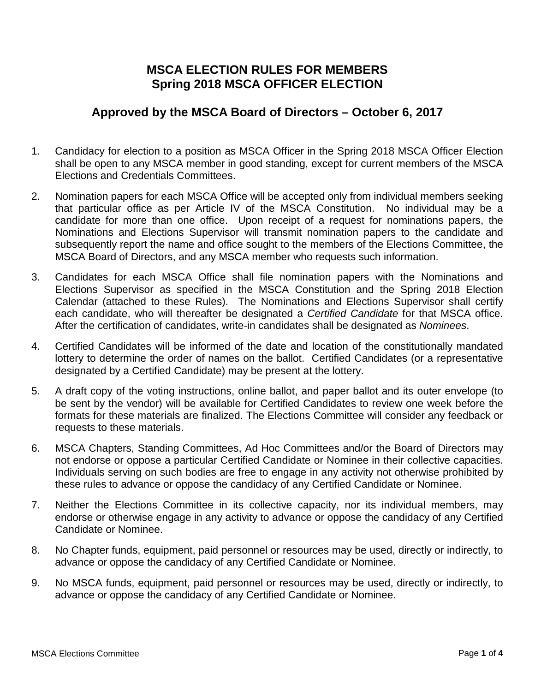## **MSCA ELECTION RULES FOR MEMBERS Spring 2018 MSCA OFFICER ELECTION**

## **Approved by the MSCA Board of Directors – October 6, 2017**

- 1. Candidacy for election to a position as MSCA Officer in the Spring 2018 MSCA Officer Election shall be open to any MSCA member in good standing, except for current members of the MSCA Elections and Credentials Committees.
- 2. Nomination papers for each MSCA Office will be accepted only from individual members seeking that particular office as per Article IV of the MSCA Constitution. No individual may be a candidate for more than one office. Upon receipt of a request for nominations papers, the Nominations and Elections Supervisor will transmit nomination papers to the candidate and subsequently report the name and office sought to the members of the Elections Committee, the MSCA Board of Directors, and any MSCA member who requests such information.
- 3. Candidates for each MSCA Office shall file nomination papers with the Nominations and Elections Supervisor as specified in the MSCA Constitution and the Spring 2018 Election Calendar (attached to these Rules). The Nominations and Elections Supervisor shall certify each candidate, who will thereafter be designated a *Certified Candidate* for that MSCA office. After the certification of candidates, write-in candidates shall be designated as *Nominees*.
- 4. Certified Candidates will be informed of the date and location of the constitutionally mandated lottery to determine the order of names on the ballot. Certified Candidates (or a representative designated by a Certified Candidate) may be present at the lottery.
- 5. A draft copy of the voting instructions, online ballot, and paper ballot and its outer envelope (to be sent by the vendor) will be available for Certified Candidates to review one week before the formats for these materials are finalized. The Elections Committee will consider any feedback or requests to these materials.
- 6. MSCA Chapters, Standing Committees, Ad Hoc Committees and/or the Board of Directors may not endorse or oppose a particular Certified Candidate or Nominee in their collective capacities. Individuals serving on such bodies are free to engage in any activity not otherwise prohibited by these rules to advance or oppose the candidacy of any Certified Candidate or Nominee.
- 7. Neither the Elections Committee in its collective capacity, nor its individual members, may endorse or otherwise engage in any activity to advance or oppose the candidacy of any Certified Candidate or Nominee.
- 8. No Chapter funds, equipment, paid personnel or resources may be used, directly or indirectly, to advance or oppose the candidacy of any Certified Candidate or Nominee.
- 9. No MSCA funds, equipment, paid personnel or resources may be used, directly or indirectly, to advance or oppose the candidacy of any Certified Candidate or Nominee.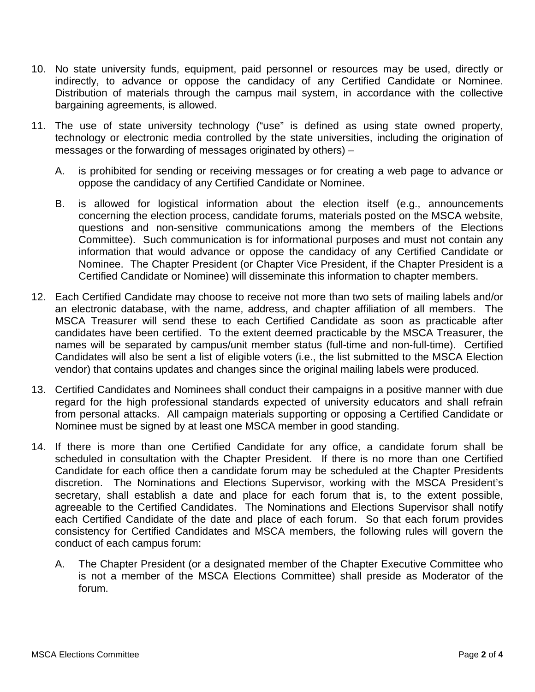- 10. No state university funds, equipment, paid personnel or resources may be used, directly or indirectly, to advance or oppose the candidacy of any Certified Candidate or Nominee. Distribution of materials through the campus mail system, in accordance with the collective bargaining agreements, is allowed.
- 11. The use of state university technology ("use" is defined as using state owned property, technology or electronic media controlled by the state universities, including the origination of messages or the forwarding of messages originated by others) –
	- A. is prohibited for sending or receiving messages or for creating a web page to advance or oppose the candidacy of any Certified Candidate or Nominee.
	- B. is allowed for logistical information about the election itself (e.g., announcements concerning the election process, candidate forums, materials posted on the MSCA website, questions and non-sensitive communications among the members of the Elections Committee). Such communication is for informational purposes and must not contain any information that would advance or oppose the candidacy of any Certified Candidate or Nominee. The Chapter President (or Chapter Vice President, if the Chapter President is a Certified Candidate or Nominee) will disseminate this information to chapter members.
- 12. Each Certified Candidate may choose to receive not more than two sets of mailing labels and/or an electronic database, with the name, address, and chapter affiliation of all members. The MSCA Treasurer will send these to each Certified Candidate as soon as practicable after candidates have been certified. To the extent deemed practicable by the MSCA Treasurer, the names will be separated by campus/unit member status (full-time and non-full-time). Certified Candidates will also be sent a list of eligible voters (i.e., the list submitted to the MSCA Election vendor) that contains updates and changes since the original mailing labels were produced.
- 13. Certified Candidates and Nominees shall conduct their campaigns in a positive manner with due regard for the high professional standards expected of university educators and shall refrain from personal attacks. All campaign materials supporting or opposing a Certified Candidate or Nominee must be signed by at least one MSCA member in good standing.
- <span id="page-1-0"></span>14. If there is more than one Certified Candidate for any office, a candidate forum shall be scheduled in consultation with the Chapter President. If there is no more than one Certified Candidate for each office then a candidate forum may be scheduled at the Chapter Presidents discretion. The Nominations and Elections Supervisor, working with the MSCA President's secretary, shall establish a date and place for each forum that is, to the extent possible, agreeable to the Certified Candidates. The Nominations and Elections Supervisor shall notify each Certified Candidate of the date and place of each forum. So that each forum provides consistency for Certified Candidates and MSCA members, the following rules will govern the conduct of each campus forum:
	- A. The Chapter President (or a designated member of the Chapter Executive Committee who is not a member of the MSCA Elections Committee) shall preside as Moderator of the forum.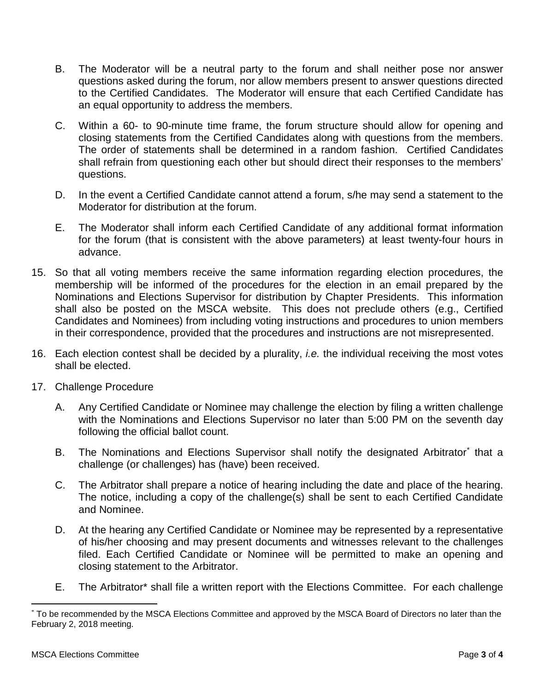- B. The Moderator will be a neutral party to the forum and shall neither pose nor answer questions asked during the forum, nor allow members present to answer questions directed to the Certified Candidates. The Moderator will ensure that each Certified Candidate has an equal opportunity to address the members.
- C. Within a 60- to 90-minute time frame, the forum structure should allow for opening and closing statements from the Certified Candidates along with questions from the members. The order of statements shall be determined in a random fashion. Certified Candidates shall refrain from questioning each other but should direct their responses to the members' questions.
- D. In the event a Certified Candidate cannot attend a forum, s/he may send a statement to the Moderator for distribution at the forum.
- E. The Moderator shall inform each Certified Candidate of any additional format information for the forum (that is consistent with the above parameters) at least twenty-four hours in advance.
- 15. So that all voting members receive the same information regarding election procedures, the membership will be informed of the procedures for the election in an email prepared by the Nominations and Elections Supervisor for distribution by Chapter Presidents. This information shall also be posted on the MSCA website. This does not preclude others (e.g., Certified Candidates and Nominees) from including voting instructions and procedures to union members in their correspondence, provided that the procedures and instructions are not misrepresented.
- 16. Each election contest shall be decided by a plurality, *i.e.* the individual receiving the most votes shall be elected.
- 17. Challenge Procedure
	- A. Any Certified Candidate or Nominee may challenge the election by filing a written challenge with the Nominations and Elections Supervisor no later than 5:00 PM on the seventh day following the official ballot count.
	- B. The Nominations and Elections Supervisor shall notify the designated Arbitrato[r\\*](#page-1-0) that a challenge (or challenges) has (have) been received.
	- C. The Arbitrator shall prepare a notice of hearing including the date and place of the hearing. The notice, including a copy of the challenge(s) shall be sent to each Certified Candidate and Nominee.
	- D. At the hearing any Certified Candidate or Nominee may be represented by a representative of his/her choosing and may present documents and witnesses relevant to the challenges filed. Each Certified Candidate or Nominee will be permitted to make an opening and closing statement to the Arbitrator.
	- E. The Arbitrator\* shall file a written report with the Elections Committee. For each challenge

 <sup>\*</sup> To be recommended by the MSCA Elections Committee and approved by the MSCA Board of Directors no later than the February 2, 2018 meeting.